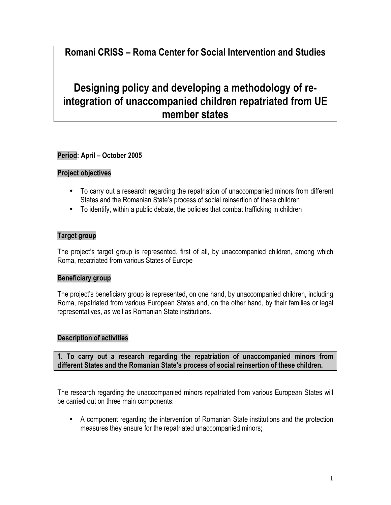# Romani CRISS – Roma Center for Social Intervention and Studies

# Designing policy and developing a methodology of reintegration of unaccompanied children repatriated from UE member states

### Period: April – October 2005

### Project objectives

- To carry out a research regarding the repatriation of unaccompanied minors from different States and the Romanian State's process of social reinsertion of these children
- To identify, within a public debate, the policies that combat trafficking in children

### Target group

The project's target group is represented, first of all, by unaccompanied children, among which Roma, repatriated from various States of Europe

#### Beneficiary group

The project's beneficiary group is represented, on one hand, by unaccompanied children, including Roma, repatriated from various European States and, on the other hand, by their families or legal representatives, as well as Romanian State institutions.

#### Description of activities

1. To carry out a research regarding the repatriation of unaccompanied minors from different States and the Romanian State's process of social reinsertion of these children.

The research regarding the unaccompanied minors repatriated from various European States will be carried out on three main components:

• A component regarding the intervention of Romanian State institutions and the protection measures they ensure for the repatriated unaccompanied minors;